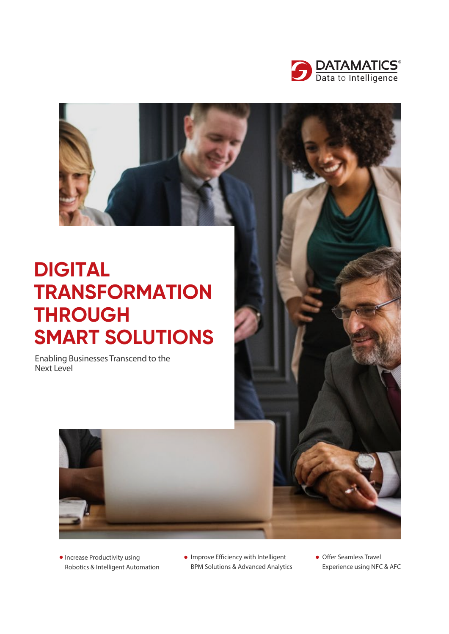

# **DIGITAL TRANSFORMATION THROUGH SMART SOLUTIONS**

Enabling Businesses Transcend to the Next Level





- **Increase Productivity using** Robotics & Intelligent Automation
- $\bullet$  Improve Efficiency with Intelligent BPM Solutions & Advanced Analytics
- Offer Seamless Travel Experience using NFC & AFC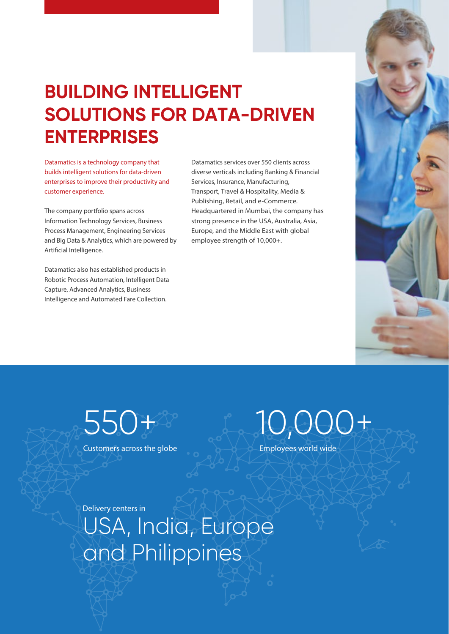

## **BUILDING INTELLIGENT SOLUTIONS FOR DATA-DRIVEN ENTERPRISES**

Datamatics is a technology company that builds intelligent solutions for data-driven enterprises to improve their productivity and customer experience.

The company portfolio spans across Information Technology Services, Business Process Management, Engineering Services and Big Data & Analytics, which are powered by Artificial Intelligence.

Datamatics also has established products in Robotic Process Automation, Intelligent Data Capture, Advanced Analytics, Business Intelligence and Automated Fare Collection.

Datamatics services over 550 clients across diverse verticals including Banking & Financial Services, Insurance, Manufacturing, Transport, Travel & Hospitality, Media & Publishing, Retail, and e-Commerce. Headquartered in Mumbai, the company has strong presence in the USA, Australia, Asia, Europe, and the Middle East with global employee strength of 10,000+.

550+

Customers across the globe



Employees world wide

Delivery centers in

USA, India, Europe and Philippines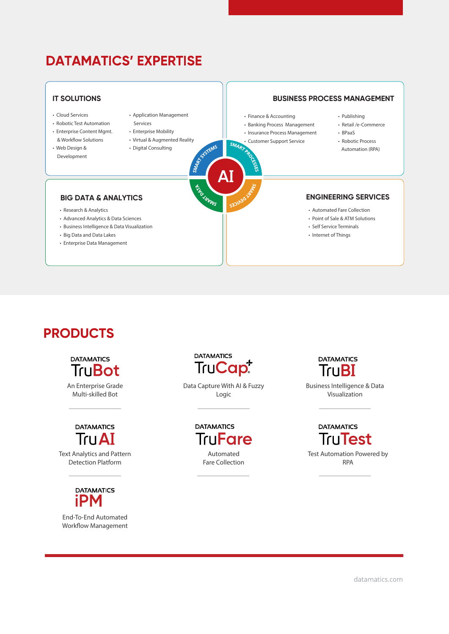## **DATAMATICS' EXPERTISE**

#### **IT SOLUTIONS BUSINESS PROCESS MANAGEMENT** • Cloud Services • Application Management • Finance & Accounting • Publishing • Robotic Test Automation Services • Banking Process Management • Retail /e-Commerce • Enterprise Content Mgmt. • Enterprise Mobility • Insurance Process Management • BPaaS & Workflow Solutions • Virtual & Augmented Reality • Customer Support Service • Robotic Process SYSTEMS • Digital Consulting • Web Design & Automation (RPA) Development ΔΙ **BIG DATA & ANALYTICS ENGINEERING SERVICES** • Automated Fare Collection • Research & Analytics • Advanced Analytics & Data Sciences • Point of Sale & ATM Solutions • Business Intelligence & Data Visualization • Self Service Terminals • Big Data and Data Lakes • Internet of Things • Enterprise Data Management

## **PRODUCTS**

**DATAMATICS TruBot** 

An Enterprise Grade Multi-skilled Bot



Text Analytics and Pattern Detection Platform



End-To-End Automated Workflow Management



Data Capture With AI & Fuzzy Logic

> **DATAMATICS TruFare** Automated Fare Collection

**DATAMATICS** TruBI

Business Intelligence & Data Visualization

**DATAMATICS TruTest** Test Automation Powered by RPA